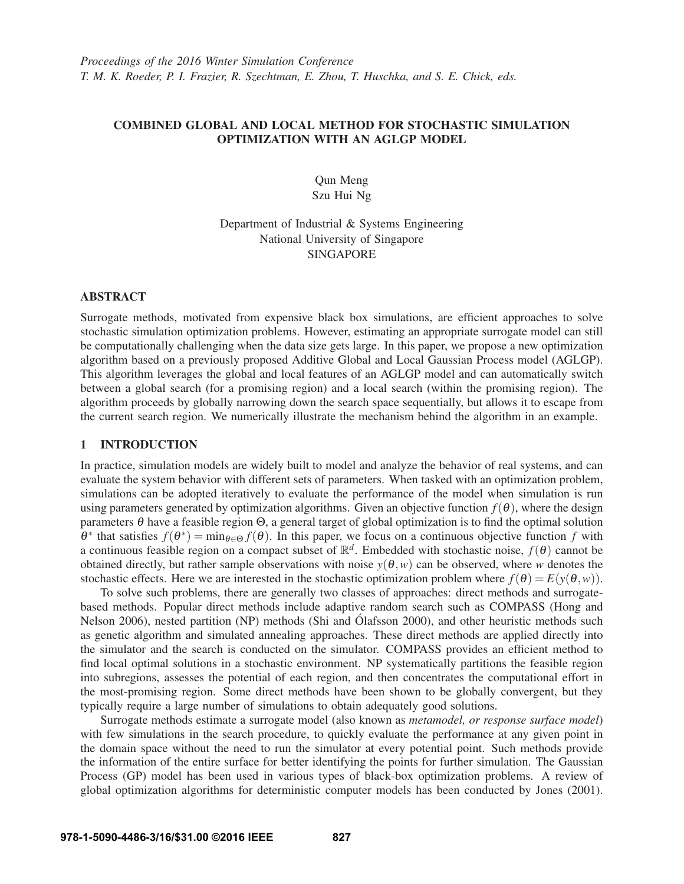# COMBINED GLOBAL AND LOCAL METHOD FOR STOCHASTIC SIMULATION OPTIMIZATION WITH AN AGLGP MODEL

Qun Meng Szu Hui Ng

# Department of Industrial & Systems Engineering National University of Singapore SINGAPORE

# ABSTRACT

Surrogate methods, motivated from expensive black box simulations, are efficient approaches to solve stochastic simulation optimization problems. However, estimating an appropriate surrogate model can still be computationally challenging when the data size gets large. In this paper, we propose a new optimization algorithm based on a previously proposed Additive Global and Local Gaussian Process model (AGLGP). This algorithm leverages the global and local features of an AGLGP model and can automatically switch between a global search (for a promising region) and a local search (within the promising region). The algorithm proceeds by globally narrowing down the search space sequentially, but allows it to escape from the current search region. We numerically illustrate the mechanism behind the algorithm in an example.

# 1 INTRODUCTION

In practice, simulation models are widely built to model and analyze the behavior of real systems, and can evaluate the system behavior with different sets of parameters. When tasked with an optimization problem, simulations can be adopted iteratively to evaluate the performance of the model when simulation is run using parameters generated by optimization algorithms. Given an objective function  $f(\theta)$ , where the design parameters θ have a feasible region Θ, a general target of global optimization is to find the optimal solution θ<sup>∗</sup> that satisfies  $f(\theta^*) = \min_{\theta \in Θ} f(\theta)$ . In this paper, we focus on a continuous objective function *f* with a continuous feasible region on a compact subset of  $\mathbb{R}^d$ . Embedded with stochastic noise,  $f(\theta)$  cannot be obtained directly, but rather sample observations with noise  $y(\theta, w)$  can be observed, where *w* denotes the stochastic effects. Here we are interested in the stochastic optimization problem where  $f(\theta) = E(y(\theta, w))$ .

To solve such problems, there are generally two classes of approaches: direct methods and surrogatebased methods. Popular direct methods include adaptive random search such as COMPASS (Hong and Nelson 2006), nested partition (NP) methods (Shi and Ólafsson 2000), and other heuristic methods such as genetic algorithm and simulated annealing approaches. These direct methods are applied directly into the simulator and the search is conducted on the simulator. COMPASS provides an efficient method to find local optimal solutions in a stochastic environment. NP systematically partitions the feasible region into subregions, assesses the potential of each region, and then concentrates the computational effort in the most-promising region. Some direct methods have been shown to be globally convergent, but they typically require a large number of simulations to obtain adequately good solutions.

Surrogate methods estimate a surrogate model (also known as *metamodel, or response surface model*) with few simulations in the search procedure, to quickly evaluate the performance at any given point in the domain space without the need to run the simulator at every potential point. Such methods provide the information of the entire surface for better identifying the points for further simulation. The Gaussian Process (GP) model has been used in various types of black-box optimization problems. A review of global optimization algorithms for deterministic computer models has been conducted by Jones (2001).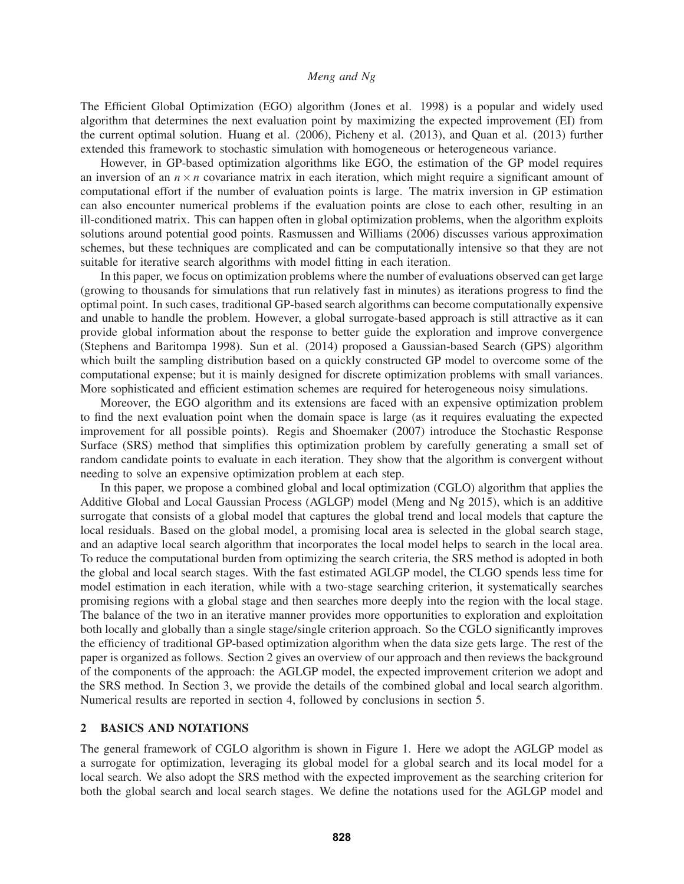The Efficient Global Optimization (EGO) algorithm (Jones et al. 1998) is a popular and widely used algorithm that determines the next evaluation point by maximizing the expected improvement (EI) from the current optimal solution. Huang et al. (2006), Picheny et al. (2013), and Quan et al. (2013) further extended this framework to stochastic simulation with homogeneous or heterogeneous variance.

However, in GP-based optimization algorithms like EGO, the estimation of the GP model requires an inversion of an  $n \times n$  covariance matrix in each iteration, which might require a significant amount of computational effort if the number of evaluation points is large. The matrix inversion in GP estimation can also encounter numerical problems if the evaluation points are close to each other, resulting in an ill-conditioned matrix. This can happen often in global optimization problems, when the algorithm exploits solutions around potential good points. Rasmussen and Williams (2006) discusses various approximation schemes, but these techniques are complicated and can be computationally intensive so that they are not suitable for iterative search algorithms with model fitting in each iteration.

In this paper, we focus on optimization problems where the number of evaluations observed can get large (growing to thousands for simulations that run relatively fast in minutes) as iterations progress to find the optimal point. In such cases, traditional GP-based search algorithms can become computationally expensive and unable to handle the problem. However, a global surrogate-based approach is still attractive as it can provide global information about the response to better guide the exploration and improve convergence (Stephens and Baritompa 1998). Sun et al. (2014) proposed a Gaussian-based Search (GPS) algorithm which built the sampling distribution based on a quickly constructed GP model to overcome some of the computational expense; but it is mainly designed for discrete optimization problems with small variances. More sophisticated and efficient estimation schemes are required for heterogeneous noisy simulations.

Moreover, the EGO algorithm and its extensions are faced with an expensive optimization problem to find the next evaluation point when the domain space is large (as it requires evaluating the expected improvement for all possible points). Regis and Shoemaker (2007) introduce the Stochastic Response Surface (SRS) method that simplifies this optimization problem by carefully generating a small set of random candidate points to evaluate in each iteration. They show that the algorithm is convergent without needing to solve an expensive optimization problem at each step.

In this paper, we propose a combined global and local optimization (CGLO) algorithm that applies the Additive Global and Local Gaussian Process (AGLGP) model (Meng and Ng 2015), which is an additive surrogate that consists of a global model that captures the global trend and local models that capture the local residuals. Based on the global model, a promising local area is selected in the global search stage, and an adaptive local search algorithm that incorporates the local model helps to search in the local area. To reduce the computational burden from optimizing the search criteria, the SRS method is adopted in both the global and local search stages. With the fast estimated AGLGP model, the CLGO spends less time for model estimation in each iteration, while with a two-stage searching criterion, it systematically searches promising regions with a global stage and then searches more deeply into the region with the local stage. The balance of the two in an iterative manner provides more opportunities to exploration and exploitation both locally and globally than a single stage/single criterion approach. So the CGLO significantly improves the efficiency of traditional GP-based optimization algorithm when the data size gets large. The rest of the paper is organized as follows. Section 2 gives an overview of our approach and then reviews the background of the components of the approach: the AGLGP model, the expected improvement criterion we adopt and the SRS method. In Section 3, we provide the details of the combined global and local search algorithm. Numerical results are reported in section 4, followed by conclusions in section 5.

# 2 BASICS AND NOTATIONS

The general framework of CGLO algorithm is shown in Figure 1. Here we adopt the AGLGP model as a surrogate for optimization, leveraging its global model for a global search and its local model for a local search. We also adopt the SRS method with the expected improvement as the searching criterion for both the global search and local search stages. We define the notations used for the AGLGP model and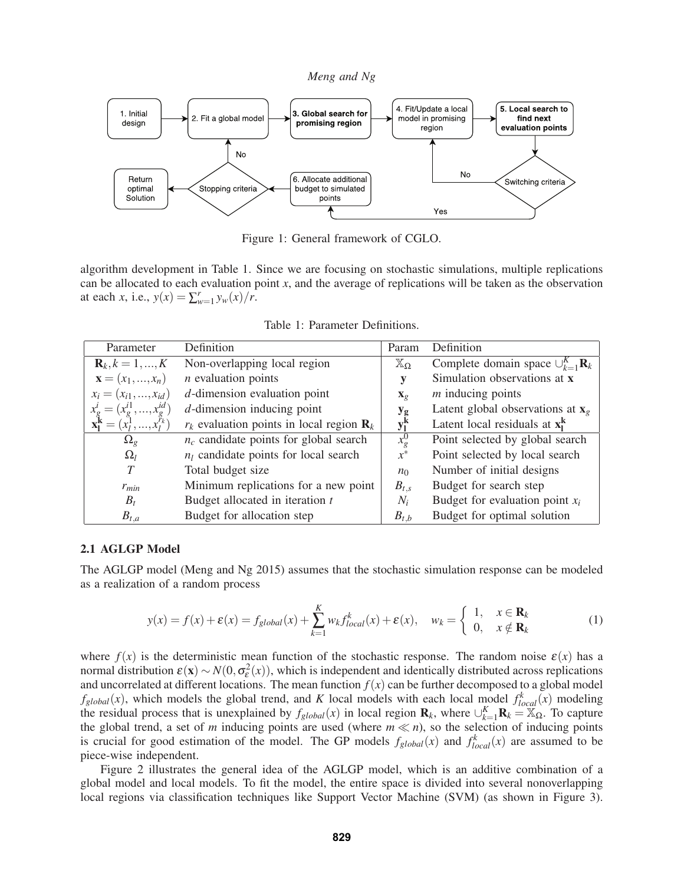

Figure 1: General framework of CGLO.

algorithm development in Table 1. Since we are focusing on stochastic simulations, multiple replications can be allocated to each evaluation point *x*, and the average of replications will be taken as the observation at each *x*, i.e.,  $y(x) = \sum_{w=1}^{r} y_w(x) / r$ .

Table 1: Parameter Definitions.

| Parameter                                               | Definition                                             | Param                      | Definition                                             |
|---------------------------------------------------------|--------------------------------------------------------|----------------------------|--------------------------------------------------------|
| ${\bf R}_k, k = 1, , K$                                 | Non-overlapping local region                           | $\mathbb{X}_{\Omega}$      | Complete domain space $\bigcup_{k=1}^{K} \mathbf{R}_k$ |
| ${\bf x}=(x_1,,x_n)$                                    | $n$ evaluation points                                  | y                          | Simulation observations at x                           |
| $x_i = (x_{i1},,x_{id})$                                | $d$ -dimension evaluation point                        | $\mathbf{X}_{\mathcal{Q}}$ | $m$ inducing points                                    |
| $x_g^l = (x_g^{i1}, , x_g^{id})$                        | $d$ -dimension inducing point                          | $y_{g}$                    | Latent global observations at $x_g$                    |
| $\mathbf{x}_1^{\mathbf{k}} = (x_1^1, , x_l^{\prime k})$ | $r_k$ evaluation points in local region $\mathbf{R}_k$ | $y_l^k$                    | Latent local residuals at $x_i^k$                      |
| $\Omega_{g}$                                            | $n_c$ candidate points for global search               | $x_g^0$                    | Point selected by global search                        |
| $\Omega_l$                                              | $n_l$ candidate points for local search                | $x^*$                      | Point selected by local search                         |
|                                                         | Total budget size                                      | $n_0$                      | Number of initial designs                              |
| $r_{min}$                                               | Minimum replications for a new point                   | $B_{t,s}$                  | Budget for search step                                 |
| $B_t$                                                   | Budget allocated in iteration $t$                      | $N_i$                      | Budget for evaluation point $x_i$                      |
| $B_{t,a}$                                               | Budget for allocation step                             | $B_{t,b}$                  | Budget for optimal solution                            |

### 2.1 AGLGP Model

The AGLGP model (Meng and Ng 2015) assumes that the stochastic simulation response can be modeled as a realization of a random process

$$
y(x) = f(x) + \varepsilon(x) = f_{global}(x) + \sum_{k=1}^{K} w_k f_{local}^k(x) + \varepsilon(x), \quad w_k = \begin{cases} 1, & x \in \mathbf{R}_k \\ 0, & x \notin \mathbf{R}_k \end{cases}
$$
 (1)

where  $f(x)$  is the deterministic mean function of the stochastic response. The random noise  $\varepsilon(x)$  has a normal distribution  $\varepsilon(x) \sim N(0, \sigma_{\varepsilon}^2(x))$ , which is independent and identically distributed across replications and uncorrelated at different locations. The mean function  $f(x)$  can be further decomposed to a global model  $f_{global}(x)$ , which models the global trend, and *K* local models with each local model  $f_{local}^k(x)$  modeling the residual process that is unexplained by  $f_{global}(x)$  in local region  $\mathbf{R}_k$ , where  $\cup_{k=1}^K \mathbf{R}_k = X_{\Omega}$ . To capture the global trend, a set of *m* inducing points are used (where  $m \ll n$ ), so the selection of inducing points is crucial for good estimation of the model. The GP models  $f_{global}(x)$  and  $f_{local}^{k}(x)$  are assumed to be piece-wise independent.

Figure 2 illustrates the general idea of the AGLGP model, which is an additive combination of a global model and local models. To fit the model, the entire space is divided into several nonoverlapping local regions via classification techniques like Support Vector Machine (SVM) (as shown in Figure 3).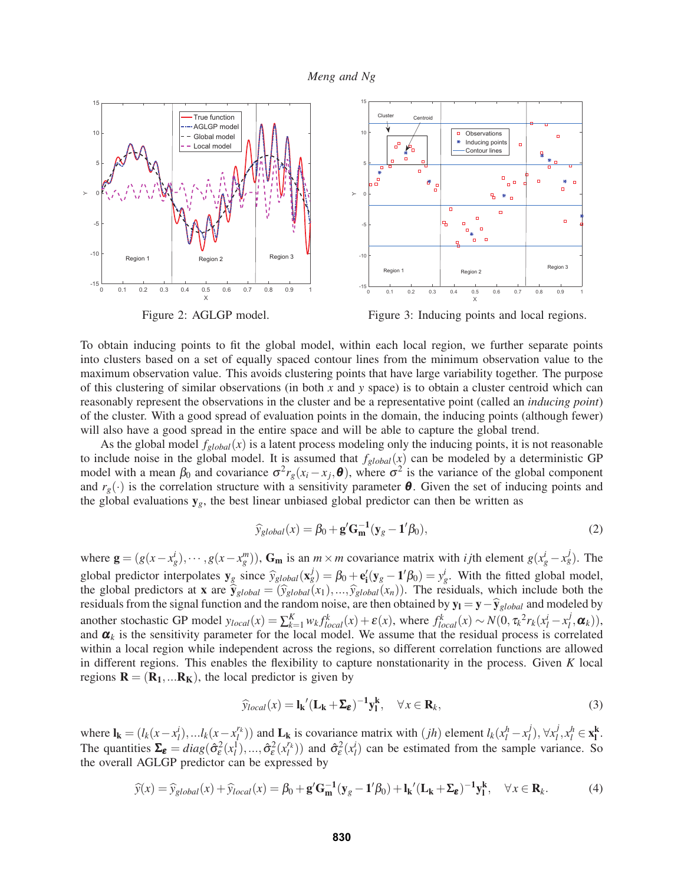

Figure 2: AGLGP model.



To obtain inducing points to fit the global model, within each local region, we further separate points into clusters based on a set of equally spaced contour lines from the minimum observation value to the maximum observation value. This avoids clustering points that have large variability together. The purpose of this clustering of similar observations (in both *x* and *y* space) is to obtain a cluster centroid which can reasonably represent the observations in the cluster and be a representative point (called an *inducing point*) of the cluster. With a good spread of evaluation points in the domain, the inducing points (although fewer) will also have a good spread in the entire space and will be able to capture the global trend.

As the global model  $f_{global}(x)$  is a latent process modeling only the inducing points, it is not reasonable to include noise in the global model. It is assumed that  $f_{global}(x)$  can be modeled by a deterministic GP model with a mean  $\beta_0$  and covariance  $\sigma^2 r_g(x_i - x_j, \theta)$ , where  $\sigma^2$  is the variance of the global component and  $r_g(\cdot)$  is the correlation structure with a sensitivity parameter  $\theta$ . Given the set of inducing points and the global evaluations  $y_g$ , the best linear unbiased global predictor can then be written as

$$
\widehat{y}_{global}(x) = \beta_0 + \mathbf{g}' \mathbf{G}_{\mathbf{m}}^{-1} (\mathbf{y}_g - \mathbf{1}' \beta_0),
$$
\n(2)

where  $\mathbf{g} = (g(x - x_g^i), \dots, g(x - x_g^m))$ ,  $\mathbf{G_m}$  is an  $m \times m$  covariance matrix with *i* jth element  $g(x_g^i - x_g^j)$ . The global predictor interpolates  $y_g$  since  $\hat{y}_{global}(\mathbf{x}_g^j) = \beta_0 + \mathbf{e}'_i(y_g - \mathbf{1}'\beta_0) = y_g^i$ . With the fitted global model, the global predictors at **x** are  $\hat{y}_{global} = (\hat{y}_{global}(x_1), ..., \hat{y}_{global}(x_n))$ . The residuals, which include both the residuals from the signal function and the random noise, are then obtained by  $y_1 = y - \hat{y}_{global}$  and modeled by another stochastic GP model  $y_{local}(x) = \sum_{k=1}^{K} w_k f_{local}^k(x) + \varepsilon(x)$ , where  $f_{local}^k(x) \sim N(0, \tau_k^2 r_k(x_l^i - x_l^j, \boldsymbol{\alpha}_k)),$ and  $\alpha_k$  is the sensitivity parameter for the local model. We assume that the residual process is correlated within a local region while independent across the regions, so different correlation functions are allowed in different regions. This enables the flexibility to capture nonstationarity in the process. Given *K* local regions  $\mathbf{R} = (\mathbf{R}_1, \dots \mathbf{R}_K)$ , the local predictor is given by

$$
\widehat{y}_{local}(x) = \mathbf{l}_{\mathbf{k}}' (\mathbf{L}_{\mathbf{k}} + \boldsymbol{\Sigma}_{\boldsymbol{\varepsilon}})^{-1} \mathbf{y}_{\mathbf{l}}^{\mathbf{k}}, \quad \forall x \in \mathbf{R}_{k},
$$
\n(3)

where  $\mathbf{l}_{\mathbf{k}} = (l_k(x - x_l^i), \dots l_k(x - x_l^{r_k}))$  and  $\mathbf{L}_{\mathbf{k}}$  is covariance matrix with  $(jh)$  element  $l_k(x_l^h - x_l^j), \forall x_l^j, x_l^h \in \mathbf{x}_{\mathbf{k}}^{\mathbf{k}}$ . The quantities  $\Sigma_{\varepsilon} = diag(\hat{\sigma}_{\varepsilon}^2(x_l^1),..., \hat{\sigma}_{\varepsilon}^2(x_l^r))$  and  $\hat{\sigma}_{\varepsilon}^2(x_l^i)$  can be estimated from the sample variance. So the overall AGLGP predictor can be expressed by

$$
\widehat{y}(x) = \widehat{y}_{global}(x) + \widehat{y}_{local}(x) = \beta_0 + \mathbf{g}' \mathbf{G}_{\mathbf{m}}^{-1} (\mathbf{y}_g - \mathbf{1}' \beta_0) + \mathbf{l}_{\mathbf{k}}' (\mathbf{L}_{\mathbf{k}} + \boldsymbol{\Sigma}_{\mathbf{\varepsilon}})^{-1} \mathbf{y}_{1}^{\mathbf{k}}, \quad \forall x \in \mathbf{R}_{k}.
$$
 (4)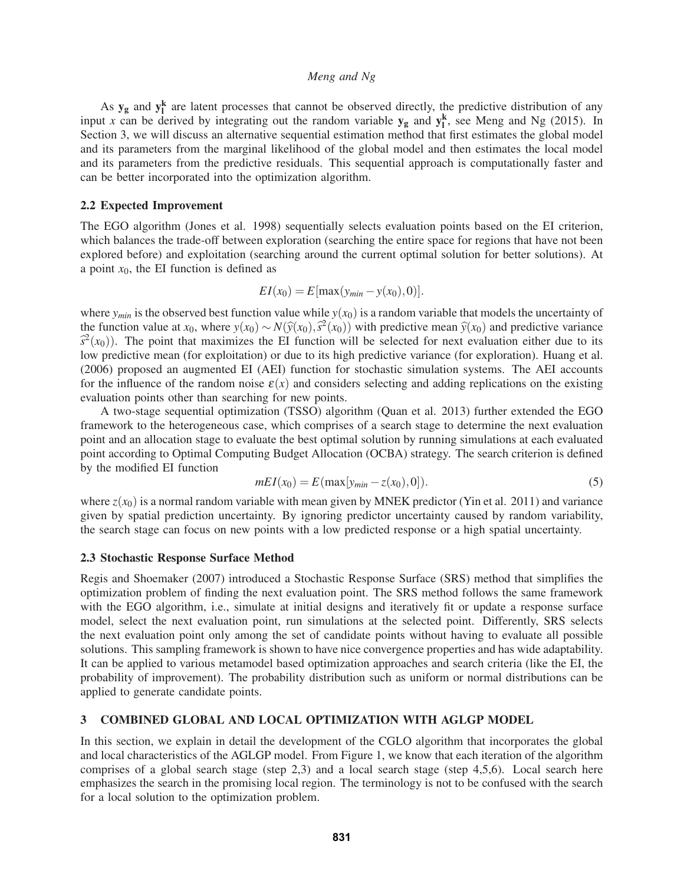As  $y_g$  and  $y_l^k$  are latent processes that cannot be observed directly, the predictive distribution of any input *x* can be derived by integrating out the random variable  $y_g$  and  $y_i^k$ , see Meng and Ng (2015). In Section 3, we will discuss an alternative sequential estimation method that first estimates the global model and its parameters from the marginal likelihood of the global model and then estimates the local model and its parameters from the predictive residuals. This sequential approach is computationally faster and can be better incorporated into the optimization algorithm.

#### 2.2 Expected Improvement

The EGO algorithm (Jones et al. 1998) sequentially selects evaluation points based on the EI criterion, which balances the trade-off between exploration (searching the entire space for regions that have not been explored before) and exploitation (searching around the current optimal solution for better solutions). At a point  $x_0$ , the EI function is defined as

$$
EI(x_0) = E[\max(y_{min} - y(x_0), 0)].
$$

where  $y_{min}$  is the observed best function value while  $y(x_0)$  is a random variable that models the uncertainty of the function value at *x*<sub>0</sub>, where  $y(x_0) \sim N(\hat{y}(x_0), \hat{s}^2(x_0))$  with predictive mean  $\hat{y}(x_0)$  and predictive variance  $\hat{s}^2(x_0)$ ). The point that maximizes the EI function will be selected for next evaluation either due to its low predictive mean (for exploitation) or due to its high predictive variance (for exploration). Huang et al. (2006) proposed an augmented EI (AEI) function for stochastic simulation systems. The AEI accounts for the influence of the random noise  $\varepsilon(x)$  and considers selecting and adding replications on the existing evaluation points other than searching for new points.

A two-stage sequential optimization (TSSO) algorithm (Quan et al. 2013) further extended the EGO framework to the heterogeneous case, which comprises of a search stage to determine the next evaluation point and an allocation stage to evaluate the best optimal solution by running simulations at each evaluated point according to Optimal Computing Budget Allocation (OCBA) strategy. The search criterion is defined by the modified EI function

$$
mEI(x_0) = E(\max[y_{min} - z(x_0), 0]).
$$
\n(5)

where  $z(x_0)$  is a normal random variable with mean given by MNEK predictor (Yin et al. 2011) and variance given by spatial prediction uncertainty. By ignoring predictor uncertainty caused by random variability, the search stage can focus on new points with a low predicted response or a high spatial uncertainty.

# 2.3 Stochastic Response Surface Method

Regis and Shoemaker (2007) introduced a Stochastic Response Surface (SRS) method that simplifies the optimization problem of finding the next evaluation point. The SRS method follows the same framework with the EGO algorithm, i.e., simulate at initial designs and iteratively fit or update a response surface model, select the next evaluation point, run simulations at the selected point. Differently, SRS selects the next evaluation point only among the set of candidate points without having to evaluate all possible solutions. This sampling framework is shown to have nice convergence properties and has wide adaptability. It can be applied to various metamodel based optimization approaches and search criteria (like the EI, the probability of improvement). The probability distribution such as uniform or normal distributions can be applied to generate candidate points.

# 3 COMBINED GLOBAL AND LOCAL OPTIMIZATION WITH AGLGP MODEL

In this section, we explain in detail the development of the CGLO algorithm that incorporates the global and local characteristics of the AGLGP model. From Figure 1, we know that each iteration of the algorithm comprises of a global search stage (step 2,3) and a local search stage (step 4,5,6). Local search here emphasizes the search in the promising local region. The terminology is not to be confused with the search for a local solution to the optimization problem.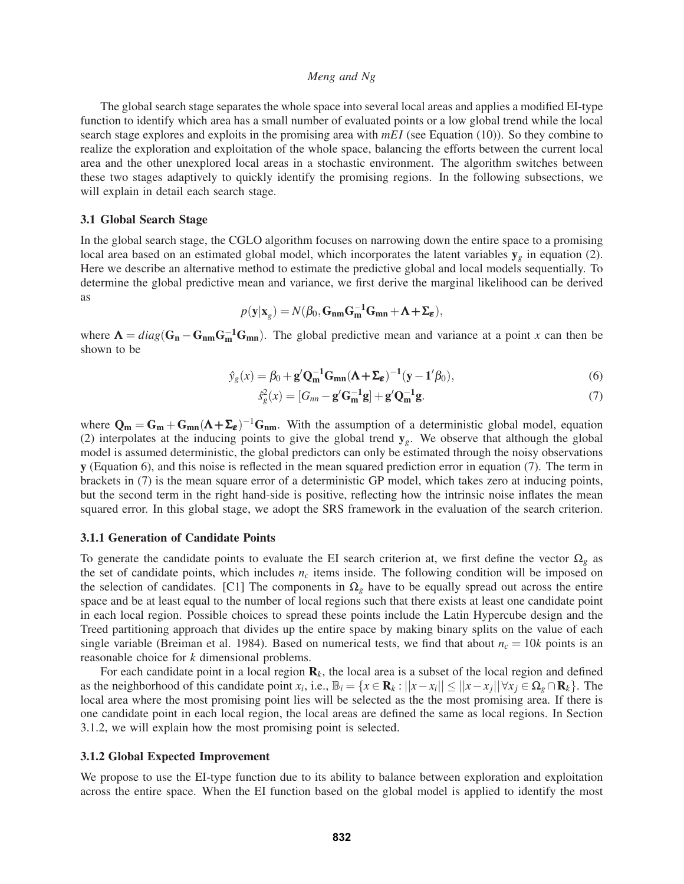The global search stage separates the whole space into several local areas and applies a modified EI-type function to identify which area has a small number of evaluated points or a low global trend while the local search stage explores and exploits in the promising area with *mEI* (see Equation (10)). So they combine to realize the exploration and exploitation of the whole space, balancing the efforts between the current local area and the other unexplored local areas in a stochastic environment. The algorithm switches between these two stages adaptively to quickly identify the promising regions. In the following subsections, we will explain in detail each search stage.

### 3.1 Global Search Stage

In the global search stage, the CGLO algorithm focuses on narrowing down the entire space to a promising local area based on an estimated global model, which incorporates the latent variables  $y_g$  in equation (2). Here we describe an alternative method to estimate the predictive global and local models sequentially. To determine the global predictive mean and variance, we first derive the marginal likelihood can be derived as

$$
p(\mathbf{y}|\mathbf{x}_g) = N(\beta_0, \mathbf{G}_{nm}\mathbf{G}_{m}^{-1}\mathbf{G}_{mn} + \mathbf{\Lambda} + \mathbf{\Sigma}_{\varepsilon}),
$$

where  $\Lambda = diag(\mathbf{G_n} - \mathbf{G_{nm}}\mathbf{G_m^{-1}}\mathbf{G_{mn}})$ . The global predictive mean and variance at a point *x* can then be shown to be

$$
\hat{y}_g(x) = \beta_0 + \mathbf{g}' \mathbf{Q}_{\mathbf{m}}^{-1} \mathbf{G}_{\mathbf{m} \mathbf{n}} (\mathbf{\Lambda} + \mathbf{\Sigma}_{\varepsilon})^{-1} (\mathbf{y} - \mathbf{1}' \beta_0), \tag{6}
$$

$$
\hat{s}_g^2(x) = [G_{nn} - \mathbf{g}'\mathbf{G}_m^{-1}\mathbf{g}] + \mathbf{g}'\mathbf{Q}_m^{-1}\mathbf{g}.
$$
\n(7)

where  $Q_m = G_m + G_{mn} (\Lambda + \Sigma_{\epsilon})^{-1} G_{nm}$ . With the assumption of a deterministic global model, equation (2) interpolates at the inducing points to give the global trend y*g*. We observe that although the global model is assumed deterministic, the global predictors can only be estimated through the noisy observations y (Equation 6), and this noise is reflected in the mean squared prediction error in equation (7). The term in brackets in (7) is the mean square error of a deterministic GP model, which takes zero at inducing points, but the second term in the right hand-side is positive, reflecting how the intrinsic noise inflates the mean squared error. In this global stage, we adopt the SRS framework in the evaluation of the search criterion.

#### 3.1.1 Generation of Candidate Points

To generate the candidate points to evaluate the EI search criterion at, we first define the vector  $\Omega_g$  as the set of candidate points, which includes  $n_c$  items inside. The following condition will be imposed on the selection of candidates. [C1] The components in  $\Omega_g$  have to be equally spread out across the entire space and be at least equal to the number of local regions such that there exists at least one candidate point in each local region. Possible choices to spread these points include the Latin Hypercube design and the Treed partitioning approach that divides up the entire space by making binary splits on the value of each single variable (Breiman et al. 1984). Based on numerical tests, we find that about  $n_c = 10k$  points is an reasonable choice for *k* dimensional problems.

For each candidate point in a local region  $\mathbf{R}_k$ , the local area is a subset of the local region and defined as the neighborhood of this candidate point *x<sub>i</sub>*, i.e.,  $\mathbb{B}_i = \{x \in \mathbb{R}_k : ||x - x_i|| \le ||x - x_j|| \forall x_j \in \Omega_g \cap \mathbb{R}_k\}$ . The local area where the most promising point lies will be selected as the the most promising area. If there is one candidate point in each local region, the local areas are defined the same as local regions. In Section 3.1.2, we will explain how the most promising point is selected.

#### 3.1.2 Global Expected Improvement

We propose to use the EI-type function due to its ability to balance between exploration and exploitation across the entire space. When the EI function based on the global model is applied to identify the most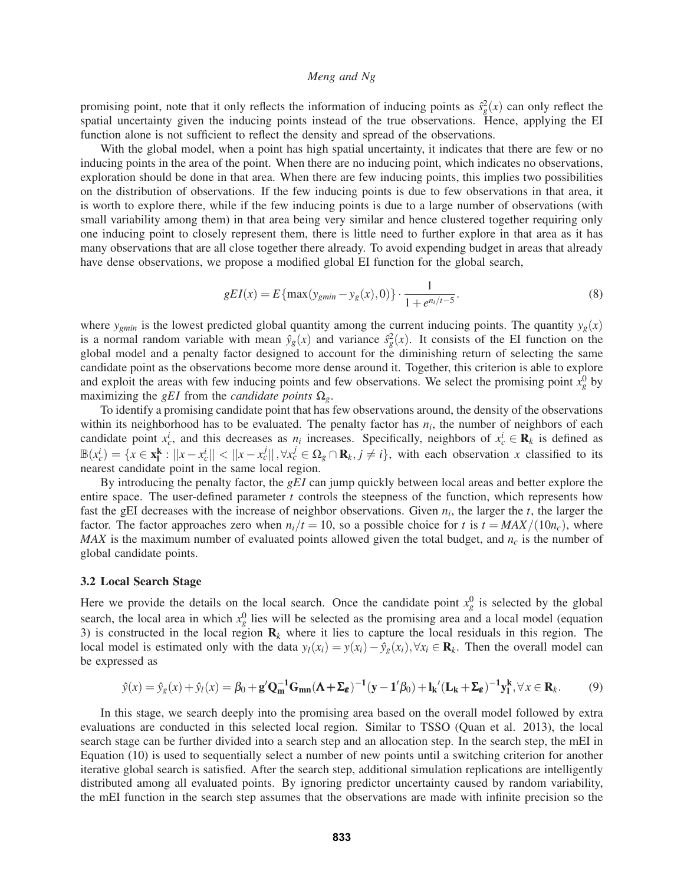promising point, note that it only reflects the information of inducing points as  $\hat{s}_g^2(x)$  can only reflect the spatial uncertainty given the inducing points instead of the true observations. Hence, applying the EI function alone is not sufficient to reflect the density and spread of the observations.

With the global model, when a point has high spatial uncertainty, it indicates that there are few or no inducing points in the area of the point. When there are no inducing point, which indicates no observations, exploration should be done in that area. When there are few inducing points, this implies two possibilities on the distribution of observations. If the few inducing points is due to few observations in that area, it is worth to explore there, while if the few inducing points is due to a large number of observations (with small variability among them) in that area being very similar and hence clustered together requiring only one inducing point to closely represent them, there is little need to further explore in that area as it has many observations that are all close together there already. To avoid expending budget in areas that already have dense observations, we propose a modified global EI function for the global search,

$$
gEI(x) = E\{\max(y_{gmin} - y_g(x), 0)\} \cdot \frac{1}{1 + e^{n_i/t - 5}}.
$$
\n(8)

where  $y_{gmin}$  is the lowest predicted global quantity among the current inducing points. The quantity  $y_g(x)$ is a normal random variable with mean  $\hat{y}_g(x)$  and variance  $\hat{s}_g^2(x)$ . It consists of the EI function on the global model and a penalty factor designed to account for the diminishing return of selecting the same candidate point as the observations become more dense around it. Together, this criterion is able to explore and exploit the areas with few inducing points and few observations. We select the promising point  $x_g^0$  by maximizing the *gEI* from the *candidate points*  $\Omega_{g}$ .

To identify a promising candidate point that has few observations around, the density of the observations within its neighborhood has to be evaluated. The penalty factor has  $n_i$ , the number of neighbors of each candidate point  $x_c^i$ , and this decreases as  $n_i$  increases. Specifically, neighbors of  $x_c^i \in \mathbf{R}_k$  is defined as  $\mathbb{B}(x_c^i) = \{x \in \mathbf{x}_1^k : ||x - x_c^i|| < ||x - x_c^i||, \forall x_c^j \in \Omega_g \cap \mathbf{R}_k, j \neq i\}$ , with each observation x classified to its nearest candidate point in the same local region.

By introducing the penalty factor, the *gEI* can jump quickly between local areas and better explore the entire space. The user-defined parameter *t* controls the steepness of the function, which represents how fast the gEI decreases with the increase of neighbor observations. Given  $n_i$ , the larger the  $t$ , the larger the factor. The factor approaches zero when  $n_i/t = 10$ , so a possible choice for t is  $t = MAX/(10n_c)$ , where *MAX* is the maximum number of evaluated points allowed given the total budget, and  $n_c$  is the number of global candidate points.

#### 3.2 Local Search Stage

Here we provide the details on the local search. Once the candidate point  $x_g^0$  is selected by the global search, the local area in which  $x_g^0$  lies will be selected as the promising area and a local model (equation 3) is constructed in the local region  $\mathbf{R}_k$  where it lies to capture the local residuals in this region. The local model is estimated only with the data  $y_l(x_i) = y(x_i) - \hat{y}_g(x_i)$ ,  $\forall x_i \in \mathbf{R}_k$ . Then the overall model can be expressed as

$$
\hat{y}(x) = \hat{y}_g(x) + \hat{y}_l(x) = \beta_0 + \mathbf{g}' \mathbf{Q}_{\mathbf{m}}^{-1} \mathbf{G}_{\mathbf{m}\mathbf{n}} (\mathbf{\Lambda} + \mathbf{\Sigma}_{\varepsilon})^{-1} (\mathbf{y} - \mathbf{1}' \beta_0) + \mathbf{l}_{\mathbf{k}}' (\mathbf{L}_{\mathbf{k}} + \mathbf{\Sigma}_{\varepsilon})^{-1} \mathbf{y}_{\mathbf{l}}^{\mathbf{k}}, \forall x \in \mathbf{R}_k.
$$
 (9)

In this stage, we search deeply into the promising area based on the overall model followed by extra evaluations are conducted in this selected local region. Similar to TSSO (Quan et al. 2013), the local search stage can be further divided into a search step and an allocation step. In the search step, the mEI in Equation (10) is used to sequentially select a number of new points until a switching criterion for another iterative global search is satisfied. After the search step, additional simulation replications are intelligently distributed among all evaluated points. By ignoring predictor uncertainty caused by random variability, the mEI function in the search step assumes that the observations are made with infinite precision so the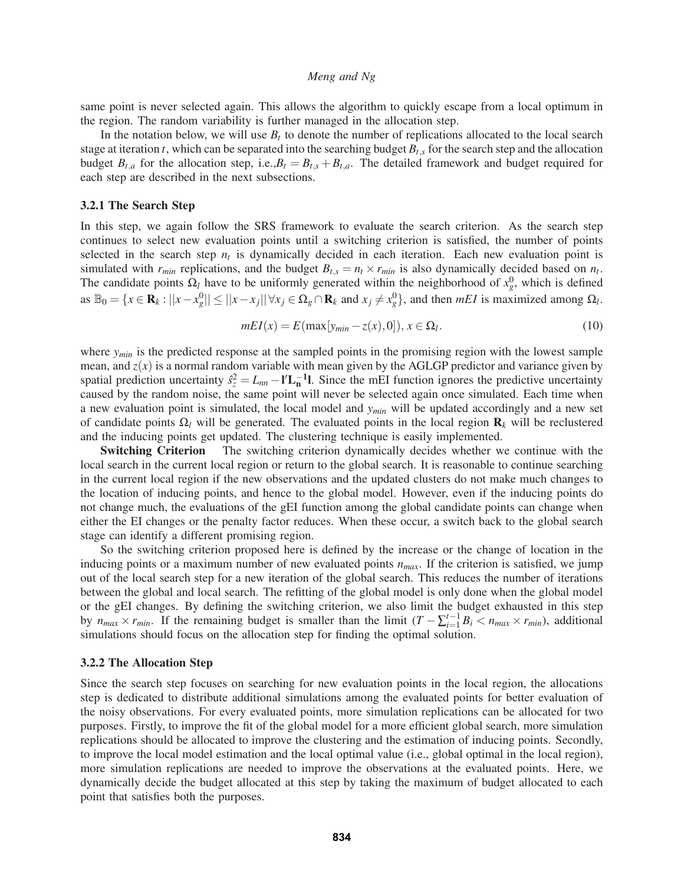same point is never selected again. This allows the algorithm to quickly escape from a local optimum in the region. The random variability is further managed in the allocation step.

In the notation below, we will use  $B_t$  to denote the number of replications allocated to the local search stage at iteration *t*, which can be separated into the searching budget  $B_{t,s}$  for the search step and the allocation budget  $B_{t,a}$  for the allocation step, i.e., $B_t = B_{t,s} + B_{t,a}$ . The detailed framework and budget required for each step are described in the next subsections.

#### 3.2.1 The Search Step

In this step, we again follow the SRS framework to evaluate the search criterion. As the search step continues to select new evaluation points until a switching criterion is satisfied, the number of points selected in the search step  $n_t$  is dynamically decided in each iteration. Each new evaluation point is simulated with  $r_{min}$  replications, and the budget  $B_{t,s} = n_t \times r_{min}$  is also dynamically decided based on  $n_t$ . The candidate points  $\Omega_l$  have to be uniformly generated within the neighborhood of  $x_g^0$ , which is defined as  $\mathbb{B}_0 = \{x \in \mathbf{R}_k : ||x - x_g^0|| \le ||x - x_j|| \forall x_j \in \Omega_g \cap \mathbf{R}_k \text{ and } x_j \neq x_g^0\}$ , and then *mEI* is maximized among  $\Omega_l$ .

$$
mEI(x) = E(\max[y_{min} - z(x), 0]), x \in \Omega_l.
$$
\n(10)

where  $y_{min}$  is the predicted response at the sampled points in the promising region with the lowest sample mean, and  $z(x)$  is a normal random variable with mean given by the AGLGP predictor and variance given by spatial prediction uncertainty  $\hat{s}_z^2 = L_{nn} - l'L_n^{-1}l$ . Since the mEI function ignores the predictive uncertainty caused by the random noise, the same point will never be selected again once simulated. Each time when a new evaluation point is simulated, the local model and *ymin* will be updated accordingly and a new set of candidate points Ω*<sup>l</sup>* will be generated. The evaluated points in the local region R*<sup>k</sup>* will be reclustered and the inducing points get updated. The clustering technique is easily implemented.

**Switching Criterion** The switching criterion dynamically decides whether we continue with the local search in the current local region or return to the global search. It is reasonable to continue searching in the current local region if the new observations and the updated clusters do not make much changes to the location of inducing points, and hence to the global model. However, even if the inducing points do not change much, the evaluations of the gEI function among the global candidate points can change when either the EI changes or the penalty factor reduces. When these occur, a switch back to the global search stage can identify a different promising region.

So the switching criterion proposed here is defined by the increase or the change of location in the inducing points or a maximum number of new evaluated points  $n_{max}$ . If the criterion is satisfied, we jump out of the local search step for a new iteration of the global search. This reduces the number of iterations between the global and local search. The refitting of the global model is only done when the global model or the gEI changes. By defining the switching criterion, we also limit the budget exhausted in this step by  $n_{max} \times r_{min}$ . If the remaining budget is smaller than the limit  $(T - \sum_{i=1}^{t-1} B_i < n_{max} \times r_{min})$ , additional simulations should focus on the allocation step for finding the optimal solution.

## 3.2.2 The Allocation Step

Since the search step focuses on searching for new evaluation points in the local region, the allocations step is dedicated to distribute additional simulations among the evaluated points for better evaluation of the noisy observations. For every evaluated points, more simulation replications can be allocated for two purposes. Firstly, to improve the fit of the global model for a more efficient global search, more simulation replications should be allocated to improve the clustering and the estimation of inducing points. Secondly, to improve the local model estimation and the local optimal value (i.e., global optimal in the local region), more simulation replications are needed to improve the observations at the evaluated points. Here, we dynamically decide the budget allocated at this step by taking the maximum of budget allocated to each point that satisfies both the purposes.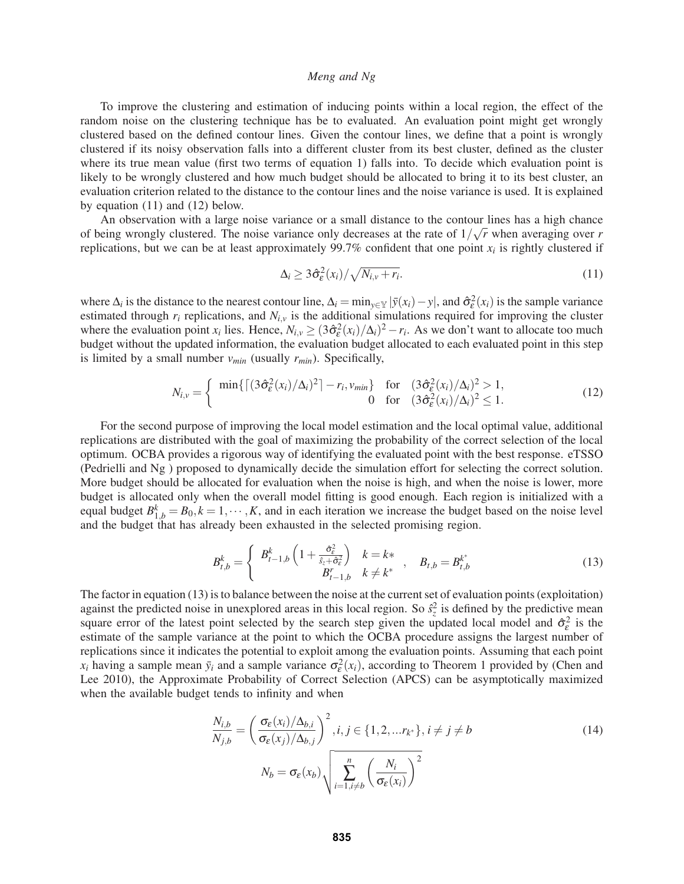To improve the clustering and estimation of inducing points within a local region, the effect of the random noise on the clustering technique has be to evaluated. An evaluation point might get wrongly clustered based on the defined contour lines. Given the contour lines, we define that a point is wrongly clustered if its noisy observation falls into a different cluster from its best cluster, defined as the cluster where its true mean value (first two terms of equation 1) falls into. To decide which evaluation point is likely to be wrongly clustered and how much budget should be allocated to bring it to its best cluster, an evaluation criterion related to the distance to the contour lines and the noise variance is used. It is explained by equation (11) and (12) below.

An observation with a large noise variance or a small distance to the contour lines has a high chance of being wrongly clustered. The noise variance only decreases at the rate of 1/ √*r* when averaging over *r* replications, but we can be at least approximately  $99.7\%$  confident that one point  $x_i$  is rightly clustered if

$$
\Delta_i \ge 3\hat{\sigma}_\varepsilon^2(x_i)/\sqrt{N_{i,v} + r_i}.\tag{11}
$$

where  $\Delta_i$  is the distance to the nearest contour line,  $\Delta_i = \min_{y \in \mathbb{Y}} |\bar{y}(x_i) - y|$ , and  $\hat{\sigma}_{\varepsilon}^2(x_i)$  is the sample variance estimated through  $r_i$  replications, and  $N_{i,v}$  is the additional simulations required for improving the cluster where the evaluation point  $x_i$  lies. Hence,  $N_{i,y} \geq (3\hat{\sigma}_\varepsilon^2(x_i)/\Delta_i)^2 - r_i$ . As we don't want to allocate too much budget without the updated information, the evaluation budget allocated to each evaluated point in this step is limited by a small number  $v_{min}$  (usually  $r_{min}$ ). Specifically,

$$
N_{i,v} = \begin{cases} \min\{\lceil (3\hat{\sigma}_{\varepsilon}^2(x_i)/\Delta_i)^2 \rceil - r_i, v_{min}\} & \text{for} \quad (3\hat{\sigma}_{\varepsilon}^2(x_i)/\Delta_i)^2 > 1, \\ 0 & \text{for} \quad (3\hat{\sigma}_{\varepsilon}^2(x_i)/\Delta_i)^2 \le 1. \end{cases}
$$
(12)

For the second purpose of improving the local model estimation and the local optimal value, additional replications are distributed with the goal of maximizing the probability of the correct selection of the local optimum. OCBA provides a rigorous way of identifying the evaluated point with the best response. eTSSO (Pedrielli and Ng ) proposed to dynamically decide the simulation effort for selecting the correct solution. More budget should be allocated for evaluation when the noise is high, and when the noise is lower, more budget is allocated only when the overall model fitting is good enough. Each region is initialized with a equal budget  $B_{1,b}^k = B_0, k = 1, \dots, K$ , and in each iteration we increase the budget based on the noise level and the budget that has already been exhausted in the selected promising region.

$$
B_{t,b}^{k} = \begin{cases} B_{t-1,b}^{k} \left( 1 + \frac{\hat{\sigma}_{\varepsilon}^{2}}{s_{\varepsilon} + \hat{\sigma}_{\varepsilon}^{2}} \right) & k = k* \\ B_{t-1,b}^{k} & k \neq k^{*} \end{cases}, \quad B_{t,b} = B_{t,b}^{k^{*}} \tag{13}
$$

The factor in equation (13) is to balance between the noise at the current set of evaluation points (exploitation) against the predicted noise in unexplored areas in this local region. So  $\hat{s}_z^2$  is defined by the predictive mean square error of the latest point selected by the search step given the updated local model and  $\hat{\sigma}_{\epsilon}^2$  is the estimate of the sample variance at the point to which the OCBA procedure assigns the largest number of replications since it indicates the potential to exploit among the evaluation points. Assuming that each point  $x_i$  having a sample mean  $\bar{y}_i$  and a sample variance  $\sigma_{\varepsilon}^2(x_i)$ , according to Theorem 1 provided by (Chen and Lee 2010), the Approximate Probability of Correct Selection (APCS) can be asymptotically maximized when the available budget tends to infinity and when

$$
\frac{N_{i,b}}{N_{j,b}} = \left(\frac{\sigma_{\varepsilon}(x_i)/\Delta_{b,i}}{\sigma_{\varepsilon}(x_j)/\Delta_{b,j}}\right)^2, i, j \in \{1, 2, \dots r_{k^*}\}, i \neq j \neq b
$$
\n
$$
N_b = \sigma_{\varepsilon}(x_b) \sqrt{\sum_{i=1, i \neq b}^{n} \left(\frac{N_i}{\sigma_{\varepsilon}(x_i)}\right)^2}
$$
\n(14)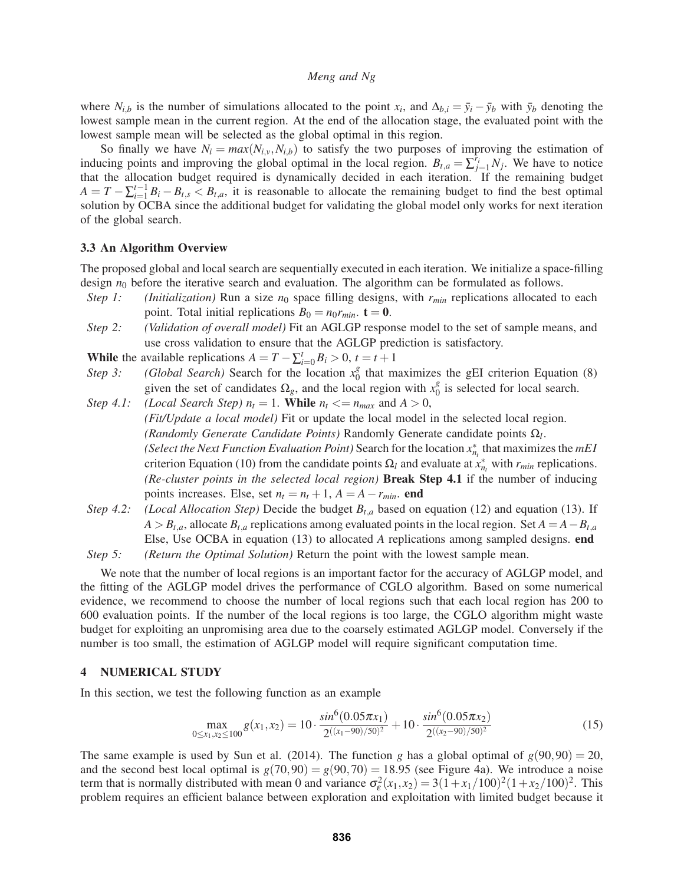where  $N_{i,b}$  is the number of simulations allocated to the point  $x_i$ , and  $\Delta_{b,i} = \bar{y}_i - \bar{y}_b$  with  $\bar{y}_b$  denoting the lowest sample mean in the current region. At the end of the allocation stage, the evaluated point with the lowest sample mean will be selected as the global optimal in this region.

So finally we have  $N_i = max(N_{i,v}, N_{i,b})$  to satisfy the two purposes of improving the estimation of inducing points and improving the global optimal in the local region.  $B_{t,a} = \sum_{j=1}^{\hat{r}_i} N_j$ . We have to notice that the allocation budget required is dynamically decided in each iteration. If the remaining budget  $A = T - \sum_{i=1}^{t-1} B_i - B_{t,s} < B_{t,a}$ , it is reasonable to allocate the remaining budget to find the best optimal solution by OCBA since the additional budget for validating the global model only works for next iteration of the global search.

### 3.3 An Algorithm Overview

The proposed global and local search are sequentially executed in each iteration. We initialize a space-filling design  $n_0$  before the iterative search and evaluation. The algorithm can be formulated as follows.

- *Step 1:* (*Initialization*) Run a size  $n_0$  space filling designs, with  $r_{min}$  replications allocated to each point. Total initial replications  $B_0 = n_0 r_{min}$ .  $t = 0$ .
- *Step 2: (Validation of overall model)* Fit an AGLGP response model to the set of sample means, and use cross validation to ensure that the AGLGP prediction is satisfactory.

**While** the available replications  $A = T - \sum_{i=0}^{t} B_i > 0, t = t + 1$ 

- *Step 3:* (*Global Search*) Search for the location  $x_0^g$  that maximizes the gEI criterion Equation (8) given the set of candidates  $\Omega_g$ , and the local region with  $x_0^g$  is selected for local search.
- *Step 4.1: (Local Search Step)*  $n_t = 1$ . **While**  $n_t \leq n_{max}$  and  $A > 0$ , *(Fit/Update a local model)* Fit or update the local model in the selected local region. *(Randomly Generate Candidate Points)* Randomly Generate candidate points Ω*l*. *(Select the Next Function Evaluation Point)* Search for the location  $x_{n_t}^*$  that maximizes the *mEI* criterion Equation (10) from the candidate points  $\Omega_l$  and evaluate at  $x_{n_l}^*$  with  $r_{min}$  replications. *(Re-cluster points in the selected local region)* Break Step 4.1 if the number of inducing points increases. Else, set  $n_t = n_t + 1$ ,  $A = A - r_{min}$ . end
- *Step 4.2:* (*Local Allocation Step*) Decide the budget  $B_{t,a}$  based on equation (12) and equation (13). If  $A > B_{t,a}$ , allocate  $B_{t,a}$  replications among evaluated points in the local region. Set  $A = A - B_{t,a}$ Else, Use OCBA in equation (13) to allocated *A* replications among sampled designs. end

*Step 5: (Return the Optimal Solution)* Return the point with the lowest sample mean.

We note that the number of local regions is an important factor for the accuracy of AGLGP model, and the fitting of the AGLGP model drives the performance of CGLO algorithm. Based on some numerical evidence, we recommend to choose the number of local regions such that each local region has 200 to 600 evaluation points. If the number of the local regions is too large, the CGLO algorithm might waste budget for exploiting an unpromising area due to the coarsely estimated AGLGP model. Conversely if the number is too small, the estimation of AGLGP model will require significant computation time.

### 4 NUMERICAL STUDY

In this section, we test the following function as an example

$$
\max_{0 \le x_1, x_2 \le 100} g(x_1, x_2) = 10 \cdot \frac{\sin^6(0.05\pi x_1)}{2^{((x_1 - 90)/50)^2}} + 10 \cdot \frac{\sin^6(0.05\pi x_2)}{2^{((x_2 - 90)/50)^2}}
$$
(15)

The same example is used by Sun et al. (2014). The function *g* has a global optimal of  $g(90,90) = 20$ , and the second best local optimal is  $g(70,90) = g(90,70) = 18.95$  (see Figure 4a). We introduce a noise term that is normally distributed with mean 0 and variance  $\sigma_{\varepsilon}^2(x_1, x_2) = 3(1 + x_1/100)^2(1 + x_2/100)^2$ . This problem requires an efficient balance between exploration and exploitation with limited budget because it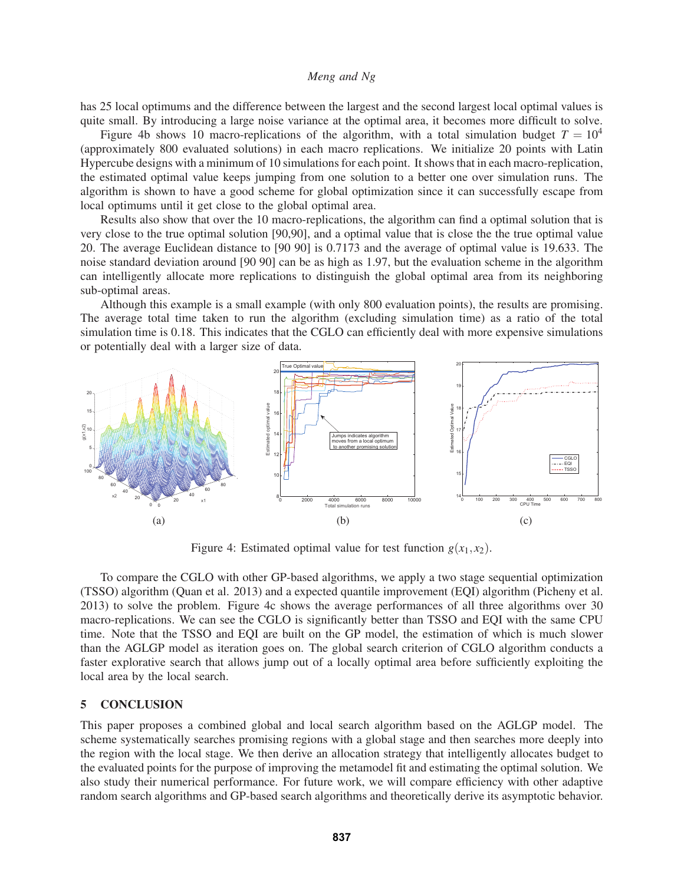has 25 local optimums and the difference between the largest and the second largest local optimal values is quite small. By introducing a large noise variance at the optimal area, it becomes more difficult to solve.

Figure 4b shows 10 macro-replications of the algorithm, with a total simulation budget  $T = 10^4$ (approximately 800 evaluated solutions) in each macro replications. We initialize 20 points with Latin Hypercube designs with a minimum of 10 simulations for each point. It shows that in each macro-replication, the estimated optimal value keeps jumping from one solution to a better one over simulation runs. The algorithm is shown to have a good scheme for global optimization since it can successfully escape from local optimums until it get close to the global optimal area.

Results also show that over the 10 macro-replications, the algorithm can find a optimal solution that is very close to the true optimal solution [90,90], and a optimal value that is close the the true optimal value 20. The average Euclidean distance to [90 90] is 0.7173 and the average of optimal value is 19.633. The noise standard deviation around [90 90] can be as high as 1.97, but the evaluation scheme in the algorithm can intelligently allocate more replications to distinguish the global optimal area from its neighboring sub-optimal areas.

Although this example is a small example (with only 800 evaluation points), the results are promising. The average total time taken to run the algorithm (excluding simulation time) as a ratio of the total simulation time is 0.18. This indicates that the CGLO can efficiently deal with more expensive simulations or potentially deal with a larger size of data.



Figure 4: Estimated optimal value for test function  $g(x_1, x_2)$ .

To compare the CGLO with other GP-based algorithms, we apply a two stage sequential optimization (TSSO) algorithm (Quan et al. 2013) and a expected quantile improvement (EQI) algorithm (Picheny et al. 2013) to solve the problem. Figure 4c shows the average performances of all three algorithms over 30 macro-replications. We can see the CGLO is significantly better than TSSO and EQI with the same CPU time. Note that the TSSO and EQI are built on the GP model, the estimation of which is much slower than the AGLGP model as iteration goes on. The global search criterion of CGLO algorithm conducts a faster explorative search that allows jump out of a locally optimal area before sufficiently exploiting the local area by the local search.

## 5 CONCLUSION

This paper proposes a combined global and local search algorithm based on the AGLGP model. The scheme systematically searches promising regions with a global stage and then searches more deeply into the region with the local stage. We then derive an allocation strategy that intelligently allocates budget to the evaluated points for the purpose of improving the metamodel fit and estimating the optimal solution. We also study their numerical performance. For future work, we will compare efficiency with other adaptive random search algorithms and GP-based search algorithms and theoretically derive its asymptotic behavior.